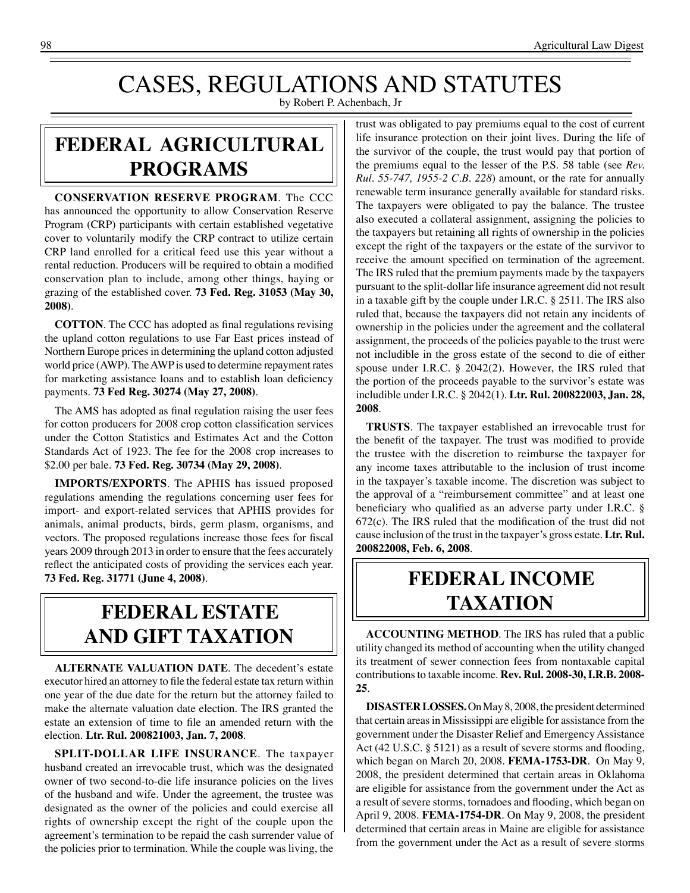# CASES, REGULATIONS AND STATUTES

by Robert P. Achenbach, Jr

## **federal agricultural programs**

**CONSERVATION RESERVE PROGRAM**. The CCC has announced the opportunity to allow Conservation Reserve Program (CRP) participants with certain established vegetative cover to voluntarily modify the CRP contract to utilize certain CRP land enrolled for a critical feed use this year without a rental reduction. Producers will be required to obtain a modified conservation plan to include, among other things, haying or grazing of the established cover. **73 Fed. Reg. 31053 (May 30, 2008)**.

**COTTON**. The CCC has adopted as final regulations revising the upland cotton regulations to use Far East prices instead of Northern Europe prices in determining the upland cotton adjusted world price (AWP). The AWP is used to determine repayment rates for marketing assistance loans and to establish loan deficiency payments. **73 Fed Reg. 30274 (May 27, 2008)**.

The AMS has adopted as final regulation raising the user fees for cotton producers for 2008 crop cotton classification services under the Cotton Statistics and Estimates Act and the Cotton Standards Act of 1923. The fee for the 2008 crop increases to \$2.00 per bale. **73 Fed. Reg. 30734 (May 29, 2008)**.

**IMPORTS/EXPORTS**. The APHIS has issued proposed regulations amending the regulations concerning user fees for import- and export-related services that APHIS provides for animals, animal products, birds, germ plasm, organisms, and vectors. The proposed regulations increase those fees for fiscal years 2009 through 2013 in order to ensure that the fees accurately reflect the anticipated costs of providing the services each year. **73 Fed. Reg. 31771 (June 4, 2008)**.

## **federal ESTATE AND GIFT taxation**

**ALTERNATE VALUATION DATE**. The decedent's estate executor hired an attorney to file the federal estate tax return within one year of the due date for the return but the attorney failed to make the alternate valuation date election. The IRS granted the estate an extension of time to file an amended return with the election. **Ltr. Rul. 200821003, Jan. 7, 2008**.

**SPLIT-DOLLAR LIFE INSURANCE**. The taxpayer husband created an irrevocable trust, which was the designated owner of two second-to-die life insurance policies on the lives of the husband and wife. Under the agreement, the trustee was designated as the owner of the policies and could exercise all rights of ownership except the right of the couple upon the agreement's termination to be repaid the cash surrender value of the policies prior to termination. While the couple was living, the

trust was obligated to pay premiums equal to the cost of current life insurance protection on their joint lives. During the life of the survivor of the couple, the trust would pay that portion of the premiums equal to the lesser of the P.S. 58 table (see *Rev. Rul. 55-747, 1955-2 C.B. 228*) amount, or the rate for annually renewable term insurance generally available for standard risks. The taxpayers were obligated to pay the balance. The trustee also executed a collateral assignment, assigning the policies to the taxpayers but retaining all rights of ownership in the policies except the right of the taxpayers or the estate of the survivor to receive the amount specified on termination of the agreement. The IRS ruled that the premium payments made by the taxpayers pursuant to the split-dollar life insurance agreement did not result in a taxable gift by the couple under I.R.C. § 2511. The IRS also ruled that, because the taxpayers did not retain any incidents of ownership in the policies under the agreement and the collateral assignment, the proceeds of the policies payable to the trust were not includible in the gross estate of the second to die of either spouse under I.R.C. § 2042(2). However, the IRS ruled that the portion of the proceeds payable to the survivor's estate was includible under I.R.C. § 2042(1). **Ltr. Rul. 200822003, Jan. 28, 2008**.

**TRUSTS**. The taxpayer established an irrevocable trust for the benefit of the taxpayer. The trust was modified to provide the trustee with the discretion to reimburse the taxpayer for any income taxes attributable to the inclusion of trust income in the taxpayer's taxable income. The discretion was subject to the approval of a "reimbursement committee" and at least one beneficiary who qualified as an adverse party under I.R.C. § 672(c). The IRS ruled that the modification of the trust did not cause inclusion of the trust in the taxpayer's gross estate. **Ltr. Rul. 200822008, Feb. 6, 2008**.

## **federal income taxation**

**ACCOUNTING METHOD**. The IRS has ruled that a public utility changed its method of accounting when the utility changed its treatment of sewer connection fees from nontaxable capital contributions to taxable income. **Rev. Rul. 2008-30, I.R.B. 2008- 25**.

**DISASTER LOSSES.** On May 8, 2008, the president determined that certain areas in Mississippi are eligible for assistance from the government under the Disaster Relief and Emergency Assistance Act (42 U.S.C. § 5121) as a result of severe storms and flooding, which began on March 20, 2008. **FEMA-1753-DR***.* On May 9, 2008, the president determined that certain areas in Oklahoma are eligible for assistance from the government under the Act as a result of severe storms, tornadoes and flooding, which began on April 9, 2008. **FEMA-1754-DR***.* On May 9, 2008, the president determined that certain areas in Maine are eligible for assistance from the government under the Act as a result of severe storms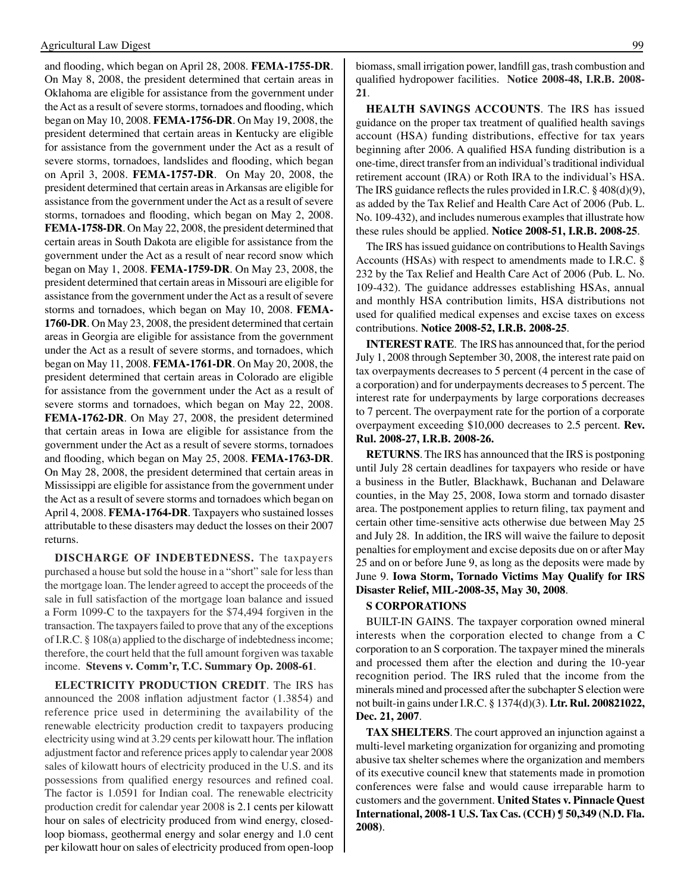and flooding, which began on April 28, 2008. **FEMA-1755-DR***.*  On May 8, 2008, the president determined that certain areas in Oklahoma are eligible for assistance from the government under the Act as a result of severe storms, tornadoes and flooding, which began on May 10, 2008. **FEMA-1756-DR***.* On May 19, 2008, the president determined that certain areas in Kentucky are eligible for assistance from the government under the Act as a result of severe storms, tornadoes, landslides and flooding, which began on April 3, 2008. **FEMA-1757-DR***.* On May 20, 2008, the president determined that certain areas in Arkansas are eligible for assistance from the government under the Act as a result of severe storms, tornadoes and flooding, which began on May 2, 2008. **FEMA-1758-DR***.* On May 22, 2008, the president determined that certain areas in South Dakota are eligible for assistance from the government under the Act as a result of near record snow which began on May 1, 2008. **FEMA-1759-DR***.* On May 23, 2008, the president determined that certain areas in Missouri are eligible for assistance from the government under the Act as a result of severe storms and tornadoes, which began on May 10, 2008. **FEMA-1760-DR***.* On May 23, 2008, the president determined that certain areas in Georgia are eligible for assistance from the government under the Act as a result of severe storms, and tornadoes, which began on May 11, 2008. **FEMA-1761-DR***.* On May 20, 2008, the president determined that certain areas in Colorado are eligible for assistance from the government under the Act as a result of severe storms and tornadoes, which began on May 22, 2008. **FEMA-1762-DR***.* On May 27, 2008, the president determined that certain areas in Iowa are eligible for assistance from the government under the Act as a result of severe storms, tornadoes and flooding, which began on May 25, 2008. **FEMA-1763-DR***.*  On May 28, 2008, the president determined that certain areas in Mississippi are eligible for assistance from the government under the Act as a result of severe storms and tornadoes which began on April 4, 2008. **FEMA-1764-DR***.* Taxpayers who sustained losses attributable to these disasters may deduct the losses on their 2007 returns*.*

**DISCHARGE OF INDEBTEDNESS.** The taxpayers purchased a house but sold the house in a "short" sale for less than the mortgage loan. The lender agreed to accept the proceeds of the sale in full satisfaction of the mortgage loan balance and issued a Form 1099-C to the taxpayers for the \$74,494 forgiven in the transaction. The taxpayers failed to prove that any of the exceptions of I.R.C. § 108(a) applied to the discharge of indebtedness income; therefore, the court held that the full amount forgiven was taxable income. **Stevens v. Comm'r, T.C. Summary Op. 2008-61**.

**ELECTRICITY PRODUCTION CREDIT**. The IRS has announced the 2008 inflation adjustment factor (1.3854) and reference price used in determining the availability of the renewable electricity production credit to taxpayers producing electricity using wind at 3.29 cents per kilowatt hour. The inflation adjustment factor and reference prices apply to calendar year 2008 sales of kilowatt hours of electricity produced in the U.S. and its possessions from qualified energy resources and refined coal. The factor is 1.0591 for Indian coal. The renewable electricity production credit for calendar year 2008 is 2.1 cents per kilowatt hour on sales of electricity produced from wind energy, closedloop biomass, geothermal energy and solar energy and 1.0 cent per kilowatt hour on sales of electricity produced from open-loop biomass, small irrigation power, landfill gas, trash combustion and qualified hydropower facilities. **Notice 2008-48, I.R.B. 2008- 21**.

**HEALTH SAVINGS ACCOUNTS**. The IRS has issued guidance on the proper tax treatment of qualified health savings account (HSA) funding distributions, effective for tax years beginning after 2006. A qualified HSA funding distribution is a one-time, direct transfer from an individual's traditional individual retirement account (IRA) or Roth IRA to the individual's HSA. The IRS guidance reflects the rules provided in I.R.C. § 408(d)(9), as added by the Tax Relief and Health Care Act of 2006 (Pub. L. No. 109-432), and includes numerous examples that illustrate how these rules should be applied. **Notice 2008-51, I.R.B. 2008-25**.

The IRS has issued guidance on contributions to Health Savings Accounts (HSAs) with respect to amendments made to I.R.C. § 232 by the Tax Relief and Health Care Act of 2006 (Pub. L. No. 109-432). The guidance addresses establishing HSAs, annual and monthly HSA contribution limits, HSA distributions not used for qualified medical expenses and excise taxes on excess contributions. **Notice 2008-52, I.R.B. 2008-25**.

**INTEREST RATE**. The IRS has announced that, for the period July 1, 2008 through September 30, 2008, the interest rate paid on tax overpayments decreases to 5 percent (4 percent in the case of a corporation) and for underpayments decreases to 5 percent. The interest rate for underpayments by large corporations decreases to 7 percent. The overpayment rate for the portion of a corporate overpayment exceeding \$10,000 decreases to 2.5 percent. **Rev. Rul. 2008-27, I.R.B. 2008-26.**

**RETURNS**. The IRS has announced that the IRS is postponing until July 28 certain deadlines for taxpayers who reside or have a business in the Butler, Blackhawk, Buchanan and Delaware counties, in the May 25, 2008, Iowa storm and tornado disaster area. The postponement applies to return filing, tax payment and certain other time-sensitive acts otherwise due between May 25 and July 28. In addition, the IRS will waive the failure to deposit penalties for employment and excise deposits due on or after May 25 and on or before June 9, as long as the deposits were made by June 9. **Iowa Storm, Tornado Victims May Qualify for IRS Disaster Relief, MIL-2008-35, May 30, 2008**.

#### **S CORPORATIONS**

BUILT-IN GAINS. The taxpayer corporation owned mineral interests when the corporation elected to change from a C corporation to an S corporation. The taxpayer mined the minerals and processed them after the election and during the 10-year recognition period. The IRS ruled that the income from the minerals mined and processed after the subchapter S election were not built-in gains under I.R.C. § 1374(d)(3). **Ltr. Rul. 200821022, Dec. 21, 2007**.

**TAX SHELTERS**. The court approved an injunction against a multi-level marketing organization for organizing and promoting abusive tax shelter schemes where the organization and members of its executive council knew that statements made in promotion conferences were false and would cause irreparable harm to customers and the government. **United States v. Pinnacle Quest International, 2008-1 U.S. Tax Cas. (CCH) ¶ 50,349 (N.D. Fla. 2008)**.